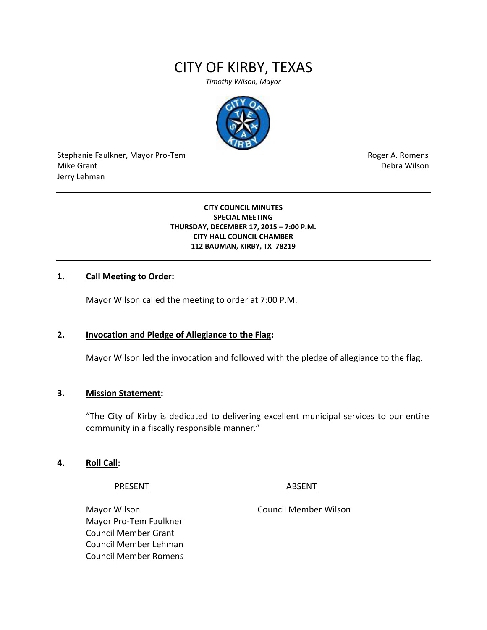# CITY OF KIRBY, TEXAS

*Timothy Wilson, Mayor*



Stephanie Faulkner, Mayor Pro-Tem **Roger A. Romens** Roger A. Romens Mike Grant National Accounts of the United States of the United States of the United States of the Debra Wilson Jerry Lehman

#### **CITY COUNCIL MINUTES SPECIAL MEETING THURSDAY, DECEMBER 17, 2015 – 7:00 P.M. CITY HALL COUNCIL CHAMBER 112 BAUMAN, KIRBY, TX 78219**

# **1. Call Meeting to Order:**

Mayor Wilson called the meeting to order at 7:00 P.M.

#### **2. Invocation and Pledge of Allegiance to the Flag:**

Mayor Wilson led the invocation and followed with the pledge of allegiance to the flag.

#### **3. Mission Statement:**

"The City of Kirby is dedicated to delivering excellent municipal services to our entire community in a fiscally responsible manner."

#### **4. Roll Call:**

PRESENT ABSENT

Mayor Wilson Council Member Wilson Mayor Pro-Tem Faulkner Council Member Grant Council Member Lehman Council Member Romens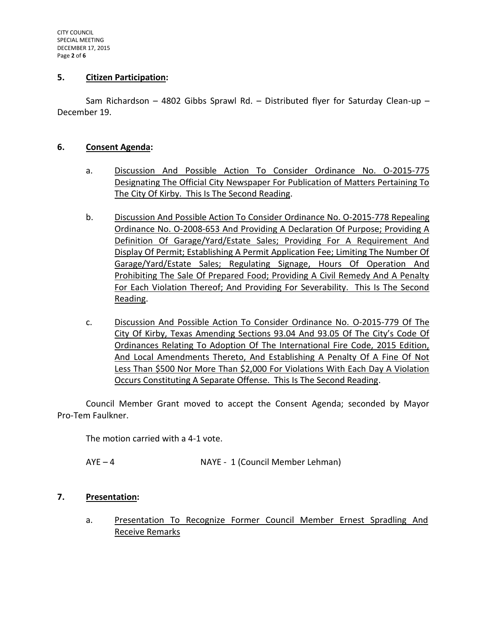### **5. Citizen Participation:**

Sam Richardson – 4802 Gibbs Sprawl Rd. – Distributed flyer for Saturday Clean-up – December 19.

### **6. Consent Agenda:**

- a. Discussion And Possible Action To Consider Ordinance No. O-2015-775 Designating The Official City Newspaper For Publication of Matters Pertaining To The City Of Kirby. This Is The Second Reading.
- b. Discussion And Possible Action To Consider Ordinance No. O-2015-778 Repealing Ordinance No. O-2008-653 And Providing A Declaration Of Purpose; Providing A Definition Of Garage/Yard/Estate Sales; Providing For A Requirement And Display Of Permit; Establishing A Permit Application Fee; Limiting The Number Of Garage/Yard/Estate Sales; Regulating Signage, Hours Of Operation And Prohibiting The Sale Of Prepared Food; Providing A Civil Remedy And A Penalty For Each Violation Thereof; And Providing For Severability. This Is The Second Reading.
- c. Discussion And Possible Action To Consider Ordinance No. O-2015-779 Of The City Of Kirby, Texas Amending Sections 93.04 And 93.05 Of The City's Code Of Ordinances Relating To Adoption Of The International Fire Code, 2015 Edition, And Local Amendments Thereto, And Establishing A Penalty Of A Fine Of Not Less Than \$500 Nor More Than \$2,000 For Violations With Each Day A Violation Occurs Constituting A Separate Offense. This Is The Second Reading.

Council Member Grant moved to accept the Consent Agenda; seconded by Mayor Pro-Tem Faulkner.

The motion carried with a 4-1 vote.

AYE – 4 NAYE - 1 (Council Member Lehman)

# **7. Presentation:**

a. Presentation To Recognize Former Council Member Ernest Spradling And Receive Remarks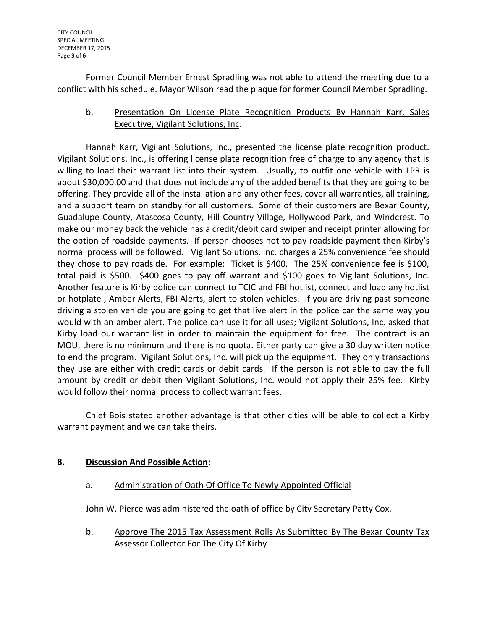CITY COUNCIL SPECIAL MEETING DECEMBER 17, 2015 Page **3** of **6**

Former Council Member Ernest Spradling was not able to attend the meeting due to a conflict with his schedule. Mayor Wilson read the plaque for former Council Member Spradling.

b. Presentation On License Plate Recognition Products By Hannah Karr, Sales Executive, Vigilant Solutions, Inc.

Hannah Karr, Vigilant Solutions, Inc., presented the license plate recognition product. Vigilant Solutions, Inc., is offering license plate recognition free of charge to any agency that is willing to load their warrant list into their system. Usually, to outfit one vehicle with LPR is about \$30,000.00 and that does not include any of the added benefits that they are going to be offering. They provide all of the installation and any other fees, cover all warranties, all training, and a support team on standby for all customers. Some of their customers are Bexar County, Guadalupe County, Atascosa County, Hill Country Village, Hollywood Park, and Windcrest. To make our money back the vehicle has a credit/debit card swiper and receipt printer allowing for the option of roadside payments. If person chooses not to pay roadside payment then Kirby's normal process will be followed. Vigilant Solutions, Inc. charges a 25% convenience fee should they chose to pay roadside. For example: Ticket is \$400. The 25% convenience fee is \$100, total paid is \$500. \$400 goes to pay off warrant and \$100 goes to Vigilant Solutions, Inc. Another feature is Kirby police can connect to TCIC and FBI hotlist, connect and load any hotlist or hotplate , Amber Alerts, FBI Alerts, alert to stolen vehicles. If you are driving past someone driving a stolen vehicle you are going to get that live alert in the police car the same way you would with an amber alert. The police can use it for all uses; Vigilant Solutions, Inc. asked that Kirby load our warrant list in order to maintain the equipment for free. The contract is an MOU, there is no minimum and there is no quota. Either party can give a 30 day written notice to end the program. Vigilant Solutions, Inc. will pick up the equipment. They only transactions they use are either with credit cards or debit cards. If the person is not able to pay the full amount by credit or debit then Vigilant Solutions, Inc. would not apply their 25% fee. Kirby would follow their normal process to collect warrant fees.

Chief Bois stated another advantage is that other cities will be able to collect a Kirby warrant payment and we can take theirs.

# **8. Discussion And Possible Action:**

a. Administration of Oath Of Office To Newly Appointed Official

John W. Pierce was administered the oath of office by City Secretary Patty Cox.

b. Approve The 2015 Tax Assessment Rolls As Submitted By The Bexar County Tax Assessor Collector For The City Of Kirby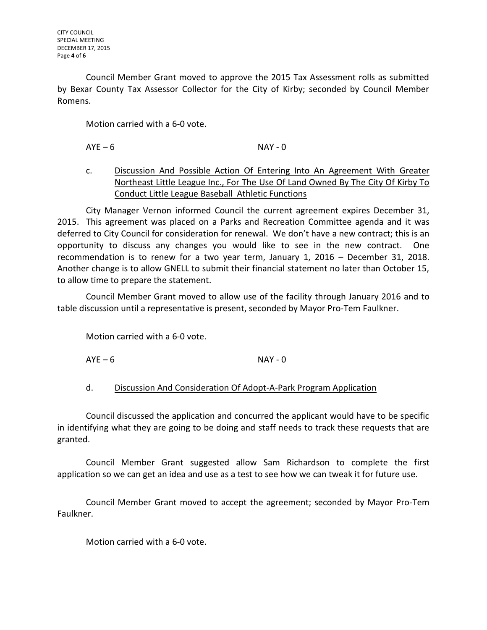Council Member Grant moved to approve the 2015 Tax Assessment rolls as submitted by Bexar County Tax Assessor Collector for the City of Kirby; seconded by Council Member Romens.

Motion carried with a 6-0 vote.

 $AYE - 6$  NAY - 0

c. Discussion And Possible Action Of Entering Into An Agreement With Greater Northeast Little League Inc., For The Use Of Land Owned By The City Of Kirby To Conduct Little League Baseball Athletic Functions

City Manager Vernon informed Council the current agreement expires December 31, 2015. This agreement was placed on a Parks and Recreation Committee agenda and it was deferred to City Council for consideration for renewal. We don't have a new contract; this is an opportunity to discuss any changes you would like to see in the new contract. One recommendation is to renew for a two year term, January 1, 2016 – December 31, 2018. Another change is to allow GNELL to submit their financial statement no later than October 15, to allow time to prepare the statement.

Council Member Grant moved to allow use of the facility through January 2016 and to table discussion until a representative is present, seconded by Mayor Pro-Tem Faulkner.

Motion carried with a 6-0 vote.

 $AYE - 6$  NAY - 0

d. Discussion And Consideration Of Adopt-A-Park Program Application

Council discussed the application and concurred the applicant would have to be specific in identifying what they are going to be doing and staff needs to track these requests that are granted.

Council Member Grant suggested allow Sam Richardson to complete the first application so we can get an idea and use as a test to see how we can tweak it for future use.

Council Member Grant moved to accept the agreement; seconded by Mayor Pro-Tem Faulkner.

Motion carried with a 6-0 vote.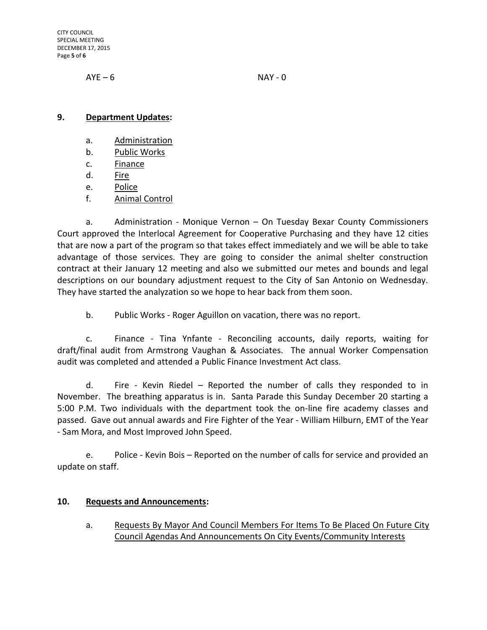CITY COUNCIL SPECIAL MEETING DECEMBER 17, 2015 Page **5** of **6**

 $AYE - 6$  NAY - 0

## **9. Department Updates:**

- a. Administration
- b. Public Works
- c. Finance
- d. Fire
- e. Police
- f. Animal Control

a. Administration - Monique Vernon – On Tuesday Bexar County Commissioners Court approved the Interlocal Agreement for Cooperative Purchasing and they have 12 cities that are now a part of the program so that takes effect immediately and we will be able to take advantage of those services. They are going to consider the animal shelter construction contract at their January 12 meeting and also we submitted our metes and bounds and legal descriptions on our boundary adjustment request to the City of San Antonio on Wednesday. They have started the analyzation so we hope to hear back from them soon.

b. Public Works - Roger Aguillon on vacation, there was no report.

c. Finance - Tina Ynfante - Reconciling accounts, daily reports, waiting for draft/final audit from Armstrong Vaughan & Associates. The annual Worker Compensation audit was completed and attended a Public Finance Investment Act class.

d. Fire - Kevin Riedel – Reported the number of calls they responded to in November. The breathing apparatus is in. Santa Parade this Sunday December 20 starting a 5:00 P.M. Two individuals with the department took the on-line fire academy classes and passed. Gave out annual awards and Fire Fighter of the Year - William Hilburn, EMT of the Year - Sam Mora, and Most Improved John Speed.

e. Police - Kevin Bois – Reported on the number of calls for service and provided an update on staff.

# **10. Requests and Announcements:**

a. Requests By Mayor And Council Members For Items To Be Placed On Future City Council Agendas And Announcements On City Events/Community Interests